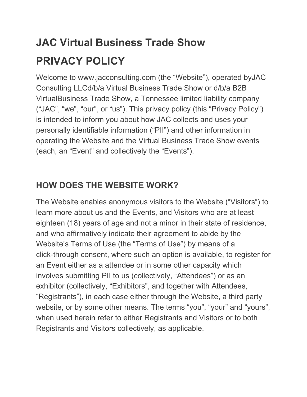# **JAC Virtual Business Trade Show PRIVACY POLICY**

Welcome to www.jacconsulting.com (the "Website"), operated byJAC Consulting LLCd/b/a Virtual Business Trade Show or d/b/a B2B VirtualBusiness Trade Show, a Tennessee limited liability company ("JAC", "we", "our", or "us"). This privacy policy (this "Privacy Policy") is intended to inform you about how JAC collects and uses your personally identifiable information ("PII") and other information in operating the Website and the Virtual Business Trade Show events (each, an "Event" and collectively the "Events").

### **HOW DOES THE WEBSITE WORK?**

The Website enables anonymous visitors to the Website ("Visitors") to learn more about us and the Events, and Visitors who are at least eighteen (18) years of age and not a minor in their state of residence, and who affirmatively indicate their agreement to abide by the Website's Terms of Use (the "Terms of Use") by means of a click-through consent, where such an option is available, to register for an Event either as a attendee or in some other capacity which involves submitting PII to us (collectively, "Attendees") or as an exhibitor (collectively, "Exhibitors", and together with Attendees, "Registrants"), in each case either through the Website, a third party website, or by some other means. The terms "you", "your" and "yours", when used herein refer to either Registrants and Visitors or to both Registrants and Visitors collectively, as applicable.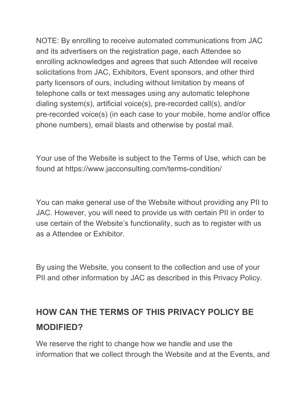NOTE: By enrolling to receive automated communications from JAC and its advertisers on the registration page, each Attendee so enrolling acknowledges and agrees that such Attendee will receive solicitations from JAC, Exhibitors, Event sponsors, and other third party licensors of ours, including without limitation by means of telephone calls or text messages using any automatic telephone dialing system(s), artificial voice(s), pre-recorded call(s), and/or pre-recorded voice(s) (in each case to your mobile, home and/or office phone numbers), email blasts and otherwise by postal mail.

Your use of the Website is subject to the Terms of Use, which can be found at https://www.jacconsulting.com/terms-condition/

You can make general use of the Website without providing any PII to JAC. However, you will need to provide us with certain PII in order to use certain of the Website's functionality, such as to register with us as a Attendee or Exhibitor.

By using the Website, you consent to the collection and use of your PII and other information by JAC as described in this Privacy Policy.

### **HOW CAN THE TERMS OF THIS PRIVACY POLICY BE MODIFIED?**

We reserve the right to change how we handle and use the information that we collect through the Website and at the Events, and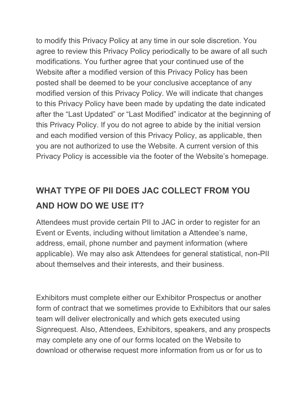to modify this Privacy Policy at any time in our sole discretion. You agree to review this Privacy Policy periodically to be aware of all such modifications. You further agree that your continued use of the Website after a modified version of this Privacy Policy has been posted shall be deemed to be your conclusive acceptance of any modified version of this Privacy Policy. We will indicate that changes to this Privacy Policy have been made by updating the date indicated after the "Last Updated" or "Last Modified" indicator at the beginning of this Privacy Policy. If you do not agree to abide by the initial version and each modified version of this Privacy Policy, as applicable, then you are not authorized to use the Website. A current version of this Privacy Policy is accessible via the footer of the Website's homepage.

### **WHAT TYPE OF PII DOES JAC COLLECT FROM YOU AND HOW DO WE USE IT?**

Attendees must provide certain PII to JAC in order to register for an Event or Events, including without limitation a Attendee's name, address, email, phone number and payment information (where applicable). We may also ask Attendees for general statistical, non-PII about themselves and their interests, and their business.

Exhibitors must complete either our Exhibitor Prospectus or another form of contract that we sometimes provide to Exhibitors that our sales team will deliver electronically and which gets executed using Signrequest. Also, Attendees, Exhibitors, speakers, and any prospects may complete any one of our forms located on the Website to download or otherwise request more information from us or for us to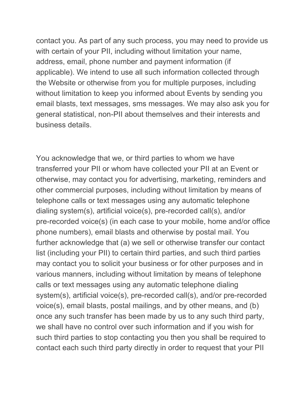contact you. As part of any such process, you may need to provide us with certain of your PII, including without limitation your name, address, email, phone number and payment information (if applicable). We intend to use all such information collected through the Website or otherwise from you for multiple purposes, including without limitation to keep you informed about Events by sending you email blasts, text messages, sms messages. We may also ask you for general statistical, non-PII about themselves and their interests and business details.

You acknowledge that we, or third parties to whom we have transferred your PII or whom have collected your PII at an Event or otherwise, may contact you for advertising, marketing, reminders and other commercial purposes, including without limitation by means of telephone calls or text messages using any automatic telephone dialing system(s), artificial voice(s), pre-recorded call(s), and/or pre-recorded voice(s) (in each case to your mobile, home and/or office phone numbers), email blasts and otherwise by postal mail. You further acknowledge that (a) we sell or otherwise transfer our contact list (including your PII) to certain third parties, and such third parties may contact you to solicit your business or for other purposes and in various manners, including without limitation by means of telephone calls or text messages using any automatic telephone dialing system(s), artificial voice(s), pre-recorded call(s), and/or pre-recorded voice(s), email blasts, postal mailings, and by other means, and (b) once any such transfer has been made by us to any such third party, we shall have no control over such information and if you wish for such third parties to stop contacting you then you shall be required to contact each such third party directly in order to request that your PII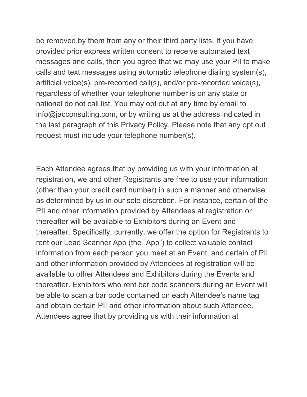be removed by them from any or their third party lists. If you have provided prior express written consent to receive automated text messages and calls, then you agree that we may use your PII to make calls and text messages using automatic telephone dialing system(s), artificial voice(s), pre-recorded call(s), and/or pre-recorded voice(s), regardless of whether your telephone number is on any state or national do not call list. You may opt out at any time by email to info@jacconsulting.com, or by writing us at the address indicated in the last paragraph of this Privacy Policy. Please note that any opt out request must include your telephone number(s).

Each Attendee agrees that by providing us with your information at registration, we and other Registrants are free to use your information (other than your credit card number) in such a manner and otherwise as determined by us in our sole discretion. For instance, certain of the PII and other information provided by Attendees at registration or thereafter will be available to Exhibitors during an Event and thereafter. Specifically, currently, we offer the option for Registrants to rent our Lead Scanner App (the "App") to collect valuable contact information from each person you meet at an Event, and certain of PII and other information provided by Attendees at registration will be available to other Attendees and Exhibitors during the Events and thereafter. Exhibitors who rent bar code scanners during an Event will be able to scan a bar code contained on each Attendee's name tag and obtain certain PII and other information about such Attendee. Attendees agree that by providing us with their information at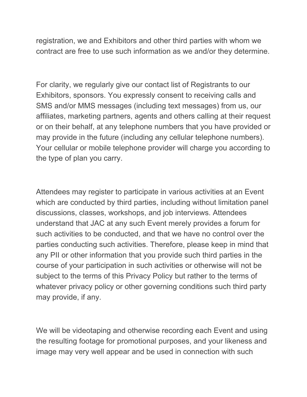registration, we and Exhibitors and other third parties with whom we contract are free to use such information as we and/or they determine.

For clarity, we regularly give our contact list of Registrants to our Exhibitors, sponsors. You expressly consent to receiving calls and SMS and/or MMS messages (including text messages) from us, our affiliates, marketing partners, agents and others calling at their request or on their behalf, at any telephone numbers that you have provided or may provide in the future (including any cellular telephone numbers). Your cellular or mobile telephone provider will charge you according to the type of plan you carry.

Attendees may register to participate in various activities at an Event which are conducted by third parties, including without limitation panel discussions, classes, workshops, and job interviews. Attendees understand that JAC at any such Event merely provides a forum for such activities to be conducted, and that we have no control over the parties conducting such activities. Therefore, please keep in mind that any PII or other information that you provide such third parties in the course of your participation in such activities or otherwise will not be subject to the terms of this Privacy Policy but rather to the terms of whatever privacy policy or other governing conditions such third party may provide, if any.

We will be videotaping and otherwise recording each Event and using the resulting footage for promotional purposes, and your likeness and image may very well appear and be used in connection with such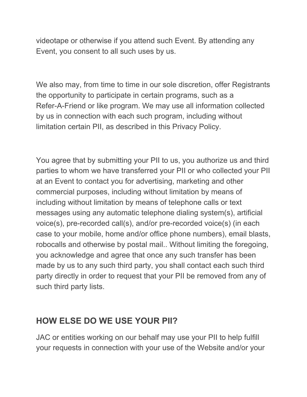videotape or otherwise if you attend such Event. By attending any Event, you consent to all such uses by us.

We also may, from time to time in our sole discretion, offer Registrants the opportunity to participate in certain programs, such as a Refer-A-Friend or like program. We may use all information collected by us in connection with each such program, including without limitation certain PII, as described in this Privacy Policy.

You agree that by submitting your PII to us, you authorize us and third parties to whom we have transferred your PII or who collected your PII at an Event to contact you for advertising, marketing and other commercial purposes, including without limitation by means of including without limitation by means of telephone calls or text messages using any automatic telephone dialing system(s), artificial voice(s), pre-recorded call(s), and/or pre-recorded voice(s) (in each case to your mobile, home and/or office phone numbers), email blasts, robocalls and otherwise by postal mail.. Without limiting the foregoing, you acknowledge and agree that once any such transfer has been made by us to any such third party, you shall contact each such third party directly in order to request that your PII be removed from any of such third party lists.

#### **HOW ELSE DO WE USE YOUR PII?**

JAC or entities working on our behalf may use your PII to help fulfill your requests in connection with your use of the Website and/or your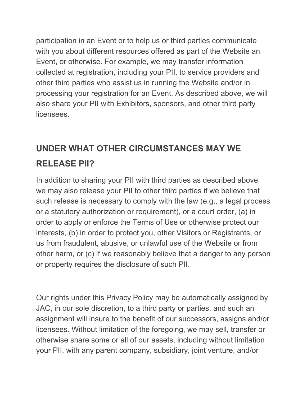participation in an Event or to help us or third parties communicate with you about different resources offered as part of the Website an Event, or otherwise. For example, we may transfer information collected at registration, including your PII, to service providers and other third parties who assist us in running the Website and/or in processing your registration for an Event. As described above, we will also share your PII with Exhibitors, sponsors, and other third party licensees.

### **UNDER WHAT OTHER CIRCUMSTANCES MAY WE RELEASE PII?**

In addition to sharing your PII with third parties as described above, we may also release your PII to other third parties if we believe that such release is necessary to comply with the law (e.g., a legal process or a statutory authorization or requirement), or a court order, (a) in order to apply or enforce the Terms of Use or otherwise protect our interests, (b) in order to protect you, other Visitors or Registrants, or us from fraudulent, abusive, or unlawful use of the Website or from other harm, or (c) if we reasonably believe that a danger to any person or property requires the disclosure of such PII.

Our rights under this Privacy Policy may be automatically assigned by JAC, in our sole discretion, to a third party or parties, and such an assignment will insure to the benefit of our successors, assigns and/or licensees. Without limitation of the foregoing, we may sell, transfer or otherwise share some or all of our assets, including without limitation your PII, with any parent company, subsidiary, joint venture, and/or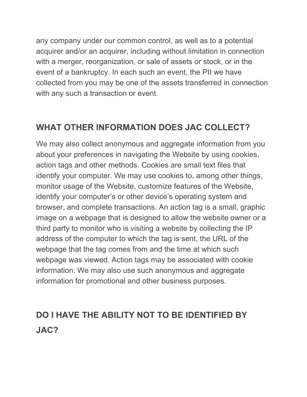any company under our common control, as well as to a potential acquirer and/or an acquirer, including without limitation in connection with a merger, reorganization, or sale of assets or stock, or in the event of a bankruptcy. In each such an event, the PII we have collected from you may be one of the assets transferred in connection with any such a transaction or event.

#### **WHAT OTHER INFORMATION DOES JAC COLLECT?**

We may also collect anonymous and aggregate information from you about your preferences in navigating the Website by using cookies, action tags and other methods. Cookies are small text files that identify your computer. We may use cookies to, among other things, monitor usage of the Website, customize features of the Website, identify your computer's or other device's operating system and browser, and complete transactions. An action tag is a small, graphic image on a webpage that is designed to allow the website owner or a third party to monitor who is visiting a website by collecting the IP address of the computer to which the tag is sent, the URL of the webpage that the tag comes from and the time at which such webpage was viewed. Action tags may be associated with cookie information. We may also use such anonymous and aggregate information for promotional and other business purposes.

### **DO I HAVE THE ABILITY NOT TO BE IDENTIFIED BY JAC?**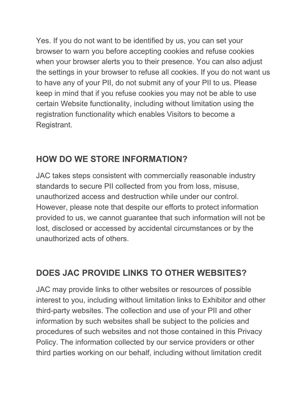Yes. If you do not want to be identified by us, you can set your browser to warn you before accepting cookies and refuse cookies when your browser alerts you to their presence. You can also adjust the settings in your browser to refuse all cookies. If you do not want us to have any of your PII, do not submit any of your PII to us. Please keep in mind that if you refuse cookies you may not be able to use certain Website functionality, including without limitation using the registration functionality which enables Visitors to become a Registrant.

### **HOW DO WE STORE INFORMATION?**

JAC takes steps consistent with commercially reasonable industry standards to secure PII collected from you from loss, misuse, unauthorized access and destruction while under our control. However, please note that despite our efforts to protect information provided to us, we cannot guarantee that such information will not be lost, disclosed or accessed by accidental circumstances or by the unauthorized acts of others.

#### **DOES JAC PROVIDE LINKS TO OTHER WEBSITES?**

JAC may provide links to other websites or resources of possible interest to you, including without limitation links to Exhibitor and other third-party websites. The collection and use of your PII and other information by such websites shall be subject to the policies and procedures of such websites and not those contained in this Privacy Policy. The information collected by our service providers or other third parties working on our behalf, including without limitation credit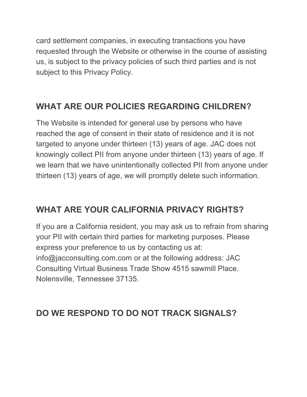card settlement companies, in executing transactions you have requested through the Website or otherwise in the course of assisting us, is subject to the privacy policies of such third parties and is not subject to this Privacy Policy.

### **WHAT ARE OUR POLICIES REGARDING CHILDREN?**

The Website is intended for general use by persons who have reached the age of consent in their state of residence and it is not targeted to anyone under thirteen (13) years of age. JAC does not knowingly collect PII from anyone under thirteen (13) years of age. If we learn that we have unintentionally collected PII from anyone under thirteen (13) years of age, we will promptly delete such information.

### **WHAT ARE YOUR CALIFORNIA PRIVACY RIGHTS?**

If you are a California resident, you may ask us to refrain from sharing your PII with certain third parties for marketing purposes. Please express your preference to us by contacting us at: info@jacconsulting.com.com or at the following address: JAC Consulting Virtual Business Trade Show 4515 sawmill Place. Nolensville, Tennessee 37135.

#### **DO WE RESPOND TO DO NOT TRACK SIGNALS?**